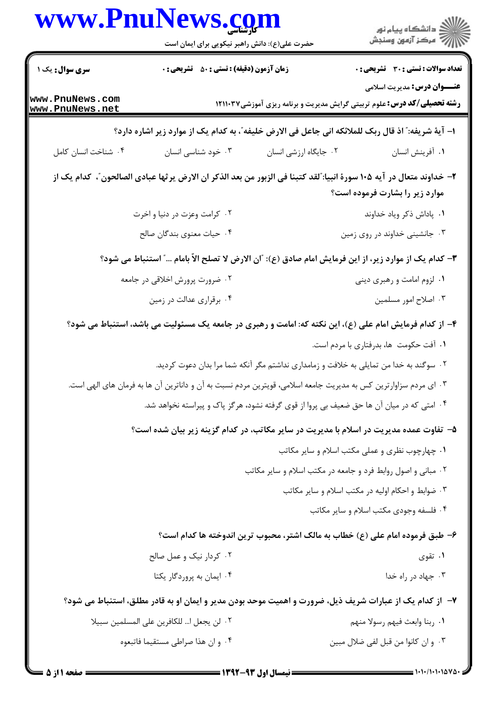| www.PnuNews.com                    | حضرت علی(ع): دانش راهبر نیکویی برای ایمان است                                                                    |                                                                                        | ر<br>دانشڪاه پيام نور)<br>ا∛ مرڪز آزمون وسنڊش                                                                                                          |
|------------------------------------|------------------------------------------------------------------------------------------------------------------|----------------------------------------------------------------------------------------|--------------------------------------------------------------------------------------------------------------------------------------------------------|
| <b>سری سوال :</b> یک ۱             | <b>زمان آزمون (دقیقه) : تستی : 50 ٪ تشریحی : 0</b>                                                               |                                                                                        | <b>تعداد سوالات : تستی : 30 ٪ تشریحی : 0</b>                                                                                                           |
| www.PnuNews.com<br>www.PnuNews.net |                                                                                                                  |                                                                                        | <b>عنـــوان درس:</b> مدیریت اسلامی<br><b>رشته تحصیلی/کد درس:</b> علوم تربیتی گرایش مدیریت و برنامه ریزی آموزشی۱۲۱۱۰۳۷                                  |
|                                    |                                                                                                                  |                                                                                        | ا– آية شريفه: ؒ اذ قال ربک للملائکه انی جاعل فی الارض خليفه ؒ، به کدام يک از موارد زير اشاره دارد؟                                                     |
| ۰۴ شناخت انسان کامل                | ۰۳ خود شناسی انسان                                                                                               | ۰۲ جایگاه ارزشی انسان                                                                  | ٠١ آفرينش انسان                                                                                                                                        |
|                                    |                                                                                                                  |                                                                                        | ٢- خداوند متعال در آيه ١٠۵ سورة انبيا: ؒلقد كتبنا في الزبور من بعد الذكر ان الارض يرثها عبادي الصالحون ؒ، كدام يك از<br>موارد زیر را بشارت فرموده است؟ |
|                                    | ۰۲ کرامت وعزت در دنیا و اخرت                                                                                     |                                                                                        | ٠١. پاداش ذكر وياد خداوند                                                                                                                              |
|                                    | ۰۴ حیات معنوی بندگان صالح                                                                                        |                                                                                        | ۰۳ جانشینی خداوند در روی زمین                                                                                                                          |
|                                    |                                                                                                                  |                                                                                        | ٣- كدام يك از موارد زير، از اين فرمايش امام صادق (ع): "ان الارض لا تصلح الاّ بامام " استنباط مي شود؟                                                   |
|                                    | ۰۲ ضرورت پرورش اخلاقی در جامعه                                                                                   |                                                                                        | ۰۱ لزوم امامت و رهبری دینی                                                                                                                             |
|                                    | ۰۴ برقراری عدالت در زمین                                                                                         |                                                                                        | ۰۳ اصلاح امور مسلمین                                                                                                                                   |
|                                    |                                                                                                                  |                                                                                        | ۴- از کدام فرمایش امام علی (ع)، این نکته که: امامت و رهبری در جامعه یک مسئولیت می باشد، استنباط می شود؟                                                |
|                                    |                                                                                                                  |                                                                                        | ۰۱ آفت حکومت ها، بدرفتاری با مردم است.                                                                                                                 |
|                                    |                                                                                                                  | ۰۲ سوگند به خدا من تمایلی به خلافت و زمامداری نداشتم مگر آنکه شما مرا بدان دعوت کردید. |                                                                                                                                                        |
|                                    | ۰۳ ای مردم سزاوارترین کس به مدیریت جامعه اسلامی، قویترین مردم نسبت به آن و داناترین آن ها به فرمان های الهی است. |                                                                                        |                                                                                                                                                        |
|                                    | ۰۴ امتی که در میان آن ها حق ضعیف بی پروا از قوی گرفته نشود، هرگز پاک و پیراسته نخواهد شد.                        |                                                                                        |                                                                                                                                                        |
|                                    |                                                                                                                  |                                                                                        | ۵– تفاوت عمده مدیریت در اسلام با مدیریت در سایر مکاتب، در کدام گزینه زیر بیان شده است؟                                                                 |
|                                    |                                                                                                                  |                                                                                        | ۰۱ چهارچوب نظری و عملی مکتب اسلام و سایر مکاتب                                                                                                         |
|                                    |                                                                                                                  | ۰۲ مبانی و اصول روابط فرد و جامعه در مکتب اسلام و سایر مکاتب                           |                                                                                                                                                        |
|                                    |                                                                                                                  |                                                                                        | ۰۳ ضوابط و احکام اولیه در مکتب اسلام و سایر مکاتب                                                                                                      |
|                                    |                                                                                                                  |                                                                                        | ۰۴ فلسفه وجودي مكتب اسلام و ساير مكاتب                                                                                                                 |
|                                    |                                                                                                                  |                                                                                        | ۶– طبق فرموده امام علی (ع) خطاب به مالک اشتر، محبوب ترین اندوخته ها کدام است؟                                                                          |
|                                    | ۰۲ کردار نیک و عمل صالح                                                                                          |                                                                                        | ۰۱ تقوی                                                                                                                                                |
|                                    | ۰۴ ایمان به پروردگار یکتا                                                                                        |                                                                                        | ۰۳ جهاد در راه خدا                                                                                                                                     |
|                                    |                                                                                                                  |                                                                                        | ۷– از کدام یک از عبارات شریف ذیل، ضرورت و اهمیت موحد بودن مدیر و ایمان او به قادر مطلق، استنباط می شود؟                                                |
|                                    | ٠٢ لن يجعل ا للكافرين على المسلمين سبيلا                                                                         |                                                                                        | ٠١. ربنا وابعث فيهم رسولا منهم                                                                                                                         |
|                                    | ۰۴ و ان هذا صراطي مستقيما فاتبعوه                                                                                |                                                                                        | ٠٣ و ان كانوا من قبل لفي ضلال مبين                                                                                                                     |
|                                    |                                                                                                                  |                                                                                        |                                                                                                                                                        |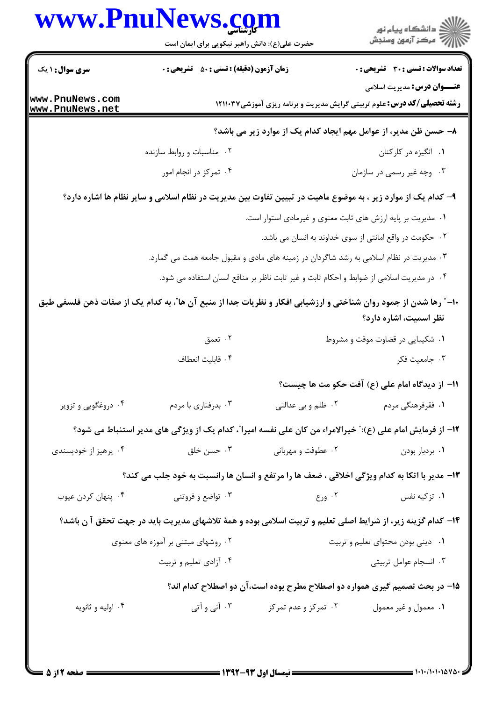| www.PnuNews.com                    |                                                                                                                   |                                                                                          | ِ<br>∭ دانشڪاه پيا <sub>م</sub> نور<br>∭ مرڪز آزمون وسنڊش                                                             |
|------------------------------------|-------------------------------------------------------------------------------------------------------------------|------------------------------------------------------------------------------------------|-----------------------------------------------------------------------------------------------------------------------|
|                                    | حضرت علی(ع): دانش راهبر نیکویی برای ایمان است                                                                     |                                                                                          |                                                                                                                       |
| <b>سری سوال : ۱ یک</b>             | <b>زمان آزمون (دقیقه) : تستی : 50 ٪ تشریحی : 0</b>                                                                |                                                                                          | <b>تعداد سوالات : تستی : 30 - تشریحی : 0</b>                                                                          |
| www.PnuNews.com<br>www.PnuNews.net |                                                                                                                   |                                                                                          | <b>عنـــوان درس:</b> مدیریت اسلامی<br><b>رشته تحصیلی/کد درس:</b> علوم تربیتی گرایش مدیریت و برنامه ریزی آموزشی1۲۱۱۰۳۷ |
|                                    |                                                                                                                   |                                                                                          | ۸– حسن ظن مدیر، از عوامل مهم ایجاد کدام یک از موارد زیر می باشد؟                                                      |
|                                    | ۰۲ مناسبات و روابط سازنده                                                                                         |                                                                                          | ۰۱ انگیزه در کارکنان                                                                                                  |
|                                    | ۰۴ تمرکز در انجام امور                                                                                            |                                                                                          | ۰۳ وجه غیر رسمی در سازمان                                                                                             |
|                                    | ۹– کدام یک از موارد زیر ، به موضوع ماهیت در تبیین تفاوت بین مدیریت در نظام اسلامی و سایر نظام ها اشاره دارد؟      |                                                                                          |                                                                                                                       |
|                                    |                                                                                                                   | ۰۱ مدیریت بر پایه ارزش های ثابت معنوی و غیرمادی استوار است.                              |                                                                                                                       |
|                                    |                                                                                                                   |                                                                                          | ۰۲ حکومت در واقع امانتی از سوی خداوند به انسان می باشد.                                                               |
|                                    | ۰۳ مدیریت در نظام اسلامی به رشد شاگردان در زمینه های مادی و مقبول جامعه همت می گمارد.                             |                                                                                          |                                                                                                                       |
|                                    |                                                                                                                   | ۰۴ در مدیریت اسلامی از ضوابط و احکام ثابت و غیر ثابت ناظر بر منافع انسان استفاده می شود. |                                                                                                                       |
|                                    | +ا– ؓ رها شدن از جمود روان شناختی و ارزشیابی افکار و نظریات جدا از منبع آن ها ؓ، به کدام یک از صفات ذهن فلسفی طبق |                                                                                          | نظر اسمیت، اشاره دارد؟                                                                                                |
|                                    | ۰۲ تعمق                                                                                                           |                                                                                          | ۰۱ شکیبایی در قضاوت موقت و مشروط                                                                                      |
|                                    | ۰۴ قابليت انعطاف                                                                                                  |                                                                                          | ۰۳ جامعیت فکر                                                                                                         |
|                                    |                                                                                                                   |                                                                                          | 11- از دیدگاه امام علی (ع) آفت حکو مت ها چیست؟                                                                        |
| ۰۴ دروغگویی و تزویر                | ۰۳ بدرفتاری با مردم                                                                                               |                                                                                          | ۰۱ فقرفرهنگی مردم مسلم ۲۰ ظلم و بی عدالتی                                                                             |
|                                    | 1۲– از فرمایش امام علی (ع):" خیرالامراء من کان علی نفسه امیرا"، کدام یک از ویژگی های مدیر استنباط می شود؟         |                                                                                          |                                                                                                                       |
| ۰۴ پرهيز از خودپسندی               | ۰۳ حسن خلق                                                                                                        | ۰۲ عطوفت و مهربانی                                                                       | ۰۱ بردبار بودن                                                                                                        |
|                                    | ۱۳- مدیر با اتکا به کدام ویژگی اخلاقی ، ضعف ها را مرتفع و انسان ها رانسبت به خود جلب می کند؟                      |                                                                                          |                                                                                                                       |
| ۰۴ پنهان کردن عيوب                 | ۰۳ تواضع و فروتنی                                                                                                 | $\mathsf{P} \cdot \mathsf{P}$ 9 ورع                                                      | ۰۱ تزکیه نفس                                                                                                          |
|                                    | ۱۴- کدام گزینه زیر، از شرایط اصلی تعلیم و تربیت اسلامی بوده و همهٔ تلاشهای مدیریت باید در جهت تحقق آ ن باشد؟      |                                                                                          |                                                                                                                       |
|                                    | ۰۲ روشهای مبتنی بر آموزه های معنوی                                                                                |                                                                                          | ۰۱ دینی بودن محتوای تعلیم و تربیت                                                                                     |
|                                    | ۰۴ آزادی تعلیم و تربیت                                                                                            |                                                                                          | ۰۳ انسجام عوامل تربيتي                                                                                                |
|                                    |                                                                                                                   |                                                                                          |                                                                                                                       |
|                                    |                                                                                                                   |                                                                                          | ۱۵- در بحث تصمیم گیری همواره دو اصطلاح مطرح بوده است،آن دو اصطلاح کدام اند؟                                           |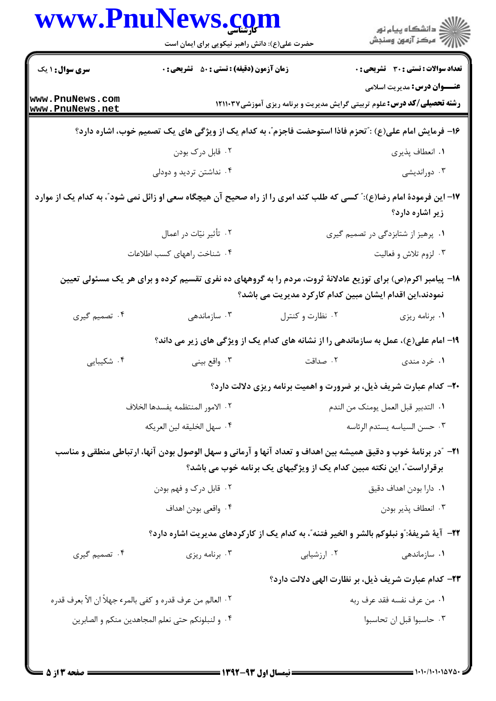|                                                            | www.PnuNews.com<br>حضرت علی(ع): دانش راهبر نیکویی برای ایمان است                                                       |                                                                                     | ِ<br>∭ دانشڪاه پيام نور<br>∭ مرڪز آزمون وسنڊش              |
|------------------------------------------------------------|------------------------------------------------------------------------------------------------------------------------|-------------------------------------------------------------------------------------|------------------------------------------------------------|
| <b>سری سوال :</b> ۱ یک                                     | <b>زمان آزمون (دقیقه) : تستی : 80 ٪ تشریحی : 0</b>                                                                     |                                                                                     | <b>تعداد سوالات : تستی : 30 ٪ تشریحی : 0</b>               |
| www.PnuNews.com<br>www.PnuNews.net                         |                                                                                                                        | <b>رشته تحصیلی/کد درس:</b> علوم تربیتی گرایش مدیریت و برنامه ریزی آموزشی1۲۱۱۰۳۷     | <b>عنـــوان درس:</b> مدیریت اسلامی                         |
|                                                            | ۱۶– فرمایش امام علی(ع) : ٌتحزم فاذا استوحضت فاجزم ؒ، به کدام یک از ویژگی های یک تصمیم خوب، اشاره دارد؟                 |                                                                                     |                                                            |
|                                                            | ۰۲ قابل درک بودن                                                                                                       |                                                                                     | ١. انعطاف پذيري                                            |
|                                                            | ۰۴ نداشتن تردید و دودلی                                                                                                |                                                                                     | ۰۳ دوراندیشی                                               |
|                                                            | ۱۷– این فرمودهٔ امام رضا(ع):" کسی که طلب کند امری را از راه صحیح آن هیچگاه سعی او زائل نمی شود"، به کدام یک از موارد   |                                                                                     | زیر اشاره دارد؟                                            |
|                                                            | ۰۲ تأثیر نیّات در اعمال                                                                                                |                                                                                     | ۰۱ پرهیز از شتابزدگی در تصمیم گیری                         |
|                                                            | ۰۴ شناخت راههای کسب اطلاعات                                                                                            |                                                                                     | ۰۳ لزوم تلاش و فعالیت                                      |
|                                                            | ۱۸- پیامبر اکرم(ص) برای توزیع عادلانهٔ ثروت، مردم را به گروههای ده نفری تقسیم کرده و برای هر یک مسئولی تعیین           | نمودند،این اقدام ایشان مبین کدام کارکرد مدیریت می باشد؟                             |                                                            |
| ۰۴ تصمیم گیری                                              | ۰۳ سازماندهی                                                                                                           | ۰۲ نظارت و کنترل                                                                    | ۰۱ برنامه ریزی                                             |
|                                                            |                                                                                                                        | ۱۹- امام علی(ع)، عمل به سازماندهی را از نشانه های کدام یک از ویژگی های زیر می داند؟ |                                                            |
| ۰۴ شکیبایی                                                 | ۰۳ واقع بيني                                                                                                           | ۰۲ صداقت                                                                            | ۰۱ خرد مندی                                                |
|                                                            |                                                                                                                        | ۲۰- کدام عبارت شریف ذیل، بر ضرورت و اهمیت برنامه ریزی دلالت دارد؟                   |                                                            |
|                                                            | ٢ · الامور المنتظمه يفسدها الخلاف                                                                                      |                                                                                     | ٠١ التدبير قبل العمل يومنك من الندم                        |
| ٠۴ سهل الخليقه لين العريكه                                 |                                                                                                                        |                                                                                     | ٠٣ حسن السياسه يستدم الرئاسه                               |
|                                                            | <b>۳۱</b> - آدر برنامهٔ خوب و دقیق همیشه بین اهداف و تعداد آنها و آرمانی و سهل الوصول بودن آنها، ارتباطی منطقی و مناسب | برقراراست"، این نکته مبین کدام یک از ویژگیهای یک برنامه خوب می باشد؟                |                                                            |
|                                                            | ۰۲ قابل درک و فهم بودن                                                                                                 | ٠١. دارا بودن اهداف دقيق                                                            |                                                            |
|                                                            | ۰۴ واقعی بودن اهداف                                                                                                    |                                                                                     | ۰۳ انعطاف پذير بودن                                        |
|                                                            | 22-   آية شريفة: ّو نبلوكم بالشر و الخير فتنه ّ، به كدام يک از کارکردهای مديريت اشاره دارد؟                            |                                                                                     |                                                            |
| ۰۴ تصمیم گیری                                              | ۰۳ برنامه ريزي                                                                                                         | ۰۲ ارزشیابی                                                                         | ۰۱ سازماندهی                                               |
|                                                            |                                                                                                                        |                                                                                     | <b>۲۳</b> - کدام عبارت شریف ذیل، بر نظارت الهی دلالت دارد؟ |
| ٢. العالم من عرف قدره و كفي بالمرء جهلاً ان الاّ بعرف قدره |                                                                                                                        |                                                                                     | ٠١ من عرف نفسه فقد عرف ربه                                 |
|                                                            | ۰۴ و لنبلونكم حتى نعلم المجاهدين منكم و الصابرين                                                                       |                                                                                     | ۰۳ حاسبوا قبل ان تحاسبوا                                   |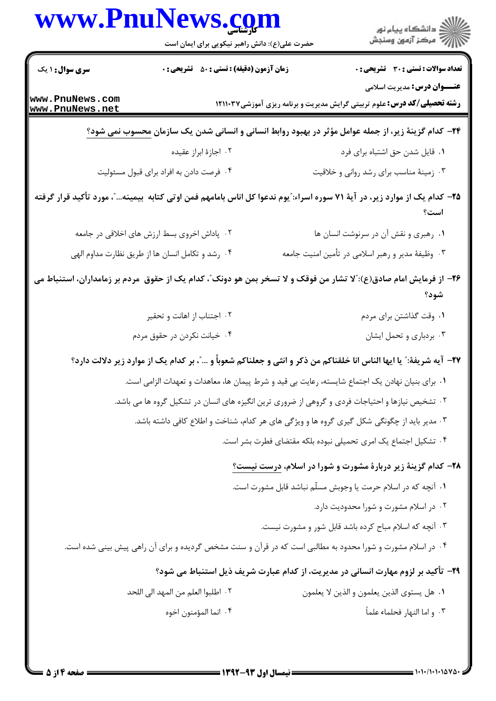|                                    | حضرت علی(ع): دانش راهبر نیکویی برای ایمان است                                                                               | الاد دانشگاه پيام نور<br>  /> مرکز آزمون وسنجش                                                                        |
|------------------------------------|-----------------------------------------------------------------------------------------------------------------------------|-----------------------------------------------------------------------------------------------------------------------|
| <b>سری سوال :</b> ۱ یک             | زمان آزمون (دقیقه) : تستی : ۵۰٪ تشریحی : ۰                                                                                  | <b>تعداد سوالات : تستی : 30 ٪ تشریحی : 0</b>                                                                          |
| www.PnuNews.com<br>www.PnuNews.net |                                                                                                                             | <b>عنـــوان درس:</b> مدیریت اسلامی<br><b>رشته تحصیلی/کد درس:</b> علوم تربیتی گرایش مدیریت و برنامه ریزی آموزشی1۲۱۱۰۳۷ |
|                                    | <b>۳۴</b> - کدام گزینهٔ زیر، از جمله عوامل مؤثر در بهبود روابط انسانی و انسانی شدن یک سازمان <u>محسوب نمی شود؟</u>          |                                                                                                                       |
|                                    | ۰۲ اجازهٔ ابراز عقیده                                                                                                       | ٠١ قايل شدن حق اشتباه براي فرد                                                                                        |
|                                    | ۰۴ فرصت دادن به افراد برای قبول مسئولیت                                                                                     | ۰۳ زمینهٔ مناسب برای رشد روانی و خلاقیت                                                                               |
|                                    | ۲۵– کدام یک از موارد زیر، در آیهٔ ۷۱ سوره اسراء: ّیوم ندعوا کل اناس بامامهم فمن اوتی کتابه بیمینه… ّ، مورد تأکید قرار گرفته | است؟                                                                                                                  |
|                                    | ۰۲ پاداش اخروی بسط ارزش های اخلاقی در جامعه                                                                                 | ٠١ رهبري و نقش آن در سرنوشت انسان ها                                                                                  |
|                                    | ۰۴ رشد و تکامل انسان ها از طریق نظارت مداوم الهی                                                                            | ۰۳ وظیفهٔ مدیر و رهبر اسلامی در تأمین امنیت جامعه                                                                     |
|                                    | ۲۶– از فرمایش امام صادق(ع):"لا تشار من فوقک و لا تسخر بمن هو دونک"، کدام یک از حقوق ً مردم بر زمامداران، استنباط می         | شود؟                                                                                                                  |
|                                    | ۰۲ اجتناب از اهانت و تحقیر                                                                                                  | ۰۱ وقت گذاشتن برای مردم                                                                                               |
|                                    | ۰۴ خیانت نکردن در حقوق مردم                                                                                                 | ۰۳ بردباری و تحمل ایشان                                                                                               |
|                                    | ٢٧- آيه شريفةً:" يا ايها الناس انا خلقناكم من ذكر و انثى و جعلناكم شعوباً و "، بر كدام يك از موارد زير دلالت دارد؟          |                                                                                                                       |
|                                    | ٠١ براي بنيان نهادن يک اجتماع شايسته، رعايت بي قيد و شرط پيمان ها، معاهدات و تعهدات الزامي است.                             |                                                                                                                       |
|                                    | ۰۲ تشخیص نیازها و احتیاجات فردی و گروهی از ضروری ترین انگیزه های انسان در تشکیل گروه ها می باشد.                            |                                                                                                                       |
|                                    | ۰۳ مدیر باید از چگونگی شکل گیری گروه ها و ویژگی های هر کدام، شناخت و اطلاع کافی داشته باشد.                                 |                                                                                                                       |
|                                    |                                                                                                                             | ۰۴ تشکیل اجتماع یک امری تحمیلی نبوده بلکه مقتضای فطرت بشر است.                                                        |
|                                    |                                                                                                                             | ۲۸- کدام گزینهٔ زیر دربارهٔ مشورت و شورا در اسلام، درست نیست؟                                                         |
|                                    |                                                                                                                             | ١. آنچه كه در اسلام حرمت يا وجوبش مسلّم نباشد قابل مشورت است.                                                         |
|                                    |                                                                                                                             | ۰۲ در اسلام مشورت و شورا محدودیت دارد.                                                                                |
|                                    |                                                                                                                             | ۰۳ آنچه که اسلام مباح کرده باشد قابل شور و مشورت نیست.                                                                |
|                                    | ۰۴ در اسلام مشورت و شورا محدود به مطالبی است که در قرآن و سنت مشخص گردیده و برای آن راهی پیش بینی شده است.                  |                                                                                                                       |
|                                    |                                                                                                                             | ۲۹- تأکید بر لزوم مهارت انسانی در مدیریت، از کدام عبارت شریف ذیل استنباط می شود؟                                      |
|                                    | ٠٢ اطلبوا العلم من المهد الى اللحد                                                                                          | ٠١ هل يستوى الذين يعلمون و الذين لا يعلمون                                                                            |
|                                    |                                                                                                                             | ٠٣ و اما النهار فحلماء علماً                                                                                          |